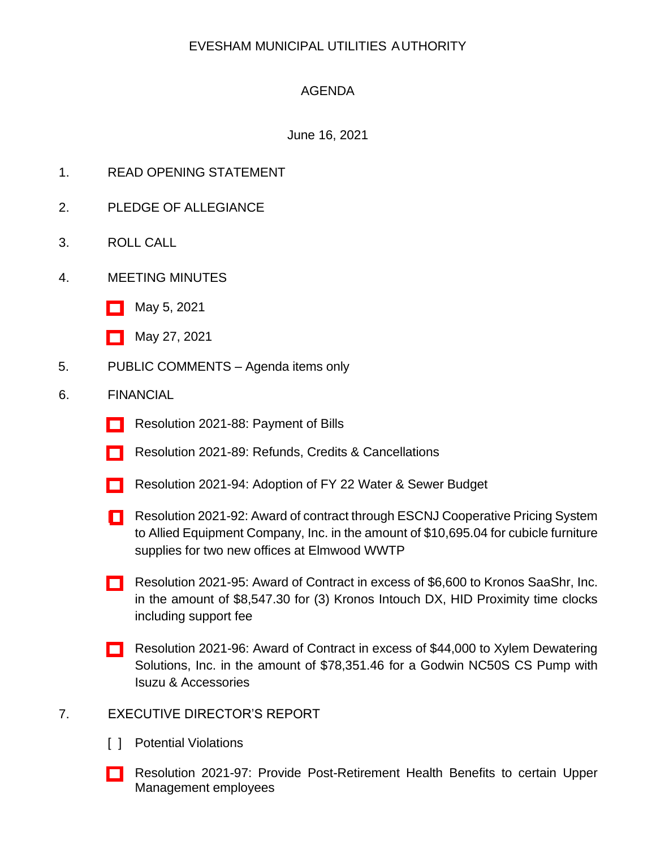# EVESHAM MUNICIPAL UTILITIES AUTHORITY

# AGENDA

## June 16, 2021

- 1. READ OPENING STATEMENT
- 2. PLEDGE OF ALLEGIANCE
- 3. ROLL CALL
- 4. MEETING MINUTES
	- [\[ \]](http://www.eveshammua.com/wp-content/uploads/2021/06/minutes-5-5-2021.pdf) May 5, 2021
	- [\[ \]](http://www.eveshammua.com/wp-content/uploads/2021/06/minutes-5-27-2021.pdf) May 27, 2021
- 5. PUBLIC COMMENTS Agenda items only

#### 6. FINANCIAL

- [\[ \]](http://www.eveshammua.com/wp-content/uploads/2021/06/Resolution-2021-88-Bill-List-Resolution.pdf) Resolution 2021-88: Payment of Bills
- [] Resolution 2021-89: Refunds, Credits & Cancellations
- [\[ \]](http://www.eveshammua.com/wp-content/uploads/2021/06/Resolution-2021-94-2022-Budget-Adoption-.pdf) Resolution 2021-94: Adoption of FY 22 Water & Sewer Budget
- [ [\]](http://www.eveshammua.com/wp-content/uploads/2021/06/Resolution-2021-92-Allied-Equipment-ESCNJ.pdf) Resolution 2021-92: Award of contract through ESCNJ Cooperative Pricing System to Allied Equipment Company, Inc. in the amount of \$10,695.04 for cubicle furniture supplies for two new offices at Elmwood WWTP
- [\[ \]](http://www.eveshammua.com/wp-content/uploads/2021/06/Resolution-2021-95-Kronos-SaaShr-Inc.-not-practicable.pdf) Resolution 2021-95: Award of Contract in excess of \$6,600 to Kronos SaaShr, Inc. in the amount of \$8,547.30 for (3) Kronos Intouch DX, HID Proximity time clocks including support fee
- [\[ \]](http://www.eveshammua.com/wp-content/uploads/2021/06/Resolution-2021-96-Xylem-Godwin-NC50S-Pump-with-Isuzu-Accessories.pdf) Resolution 2021-96: Award of Contract in excess of \$44,000 to Xylem Dewatering Solutions, Inc. in the amount of \$78,351.46 for a Godwin NC50S CS Pump with Isuzu & Accessories

#### 7. EXECUTIVE DIRECTOR'S REPORT

- [ ] Potential Violations
- [\[ \]](http://www.eveshammua.com/wp-content/uploads/2021/06/Resolution-2021-97-re-retiree-health-benefits-.pdf) Resolution 2021-97: Provide Post-Retirement Health Benefits to certain Upper Management employees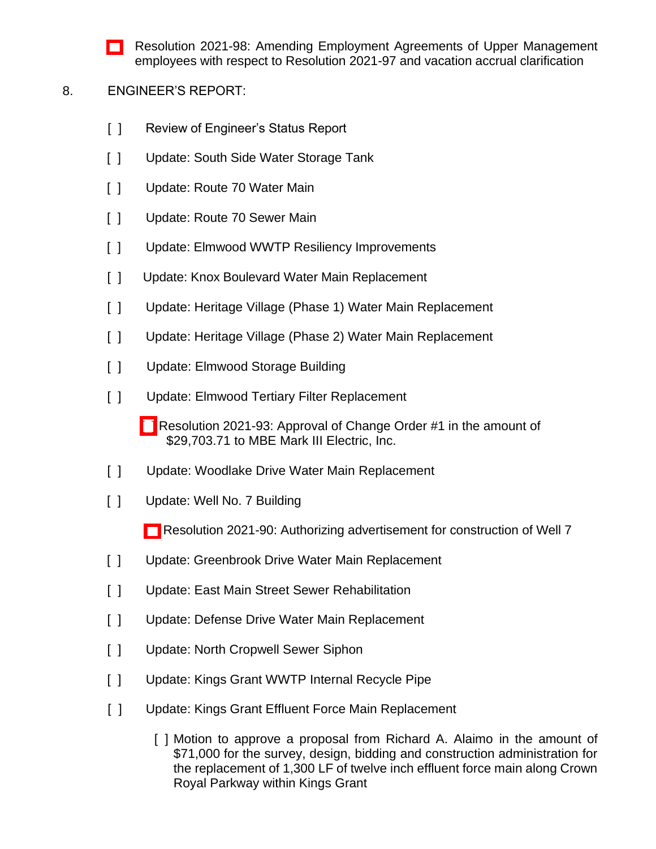[\[ \]](http://www.eveshammua.com/wp-content/uploads/2021/06/Resolution-2021-98-Resolution-Authorizing-Amended-Employment-Agreements-for-Jeffrey-Rollins-and-Laura-Puszcz-4832-3464-2670.pdf) Resolution 2021-98: Amending Employment Agreements of Upper Management employees with respect to Resolution 2021-97 and vacation accrual clarification

## 8. ENGINEER'S REPORT:

- [ ] Review of Engineer's Status Report
- [ ] Update: South Side Water Storage Tank
- [ ] Update: Route 70 Water Main
- [ ] Update: Route 70 Sewer Main
- [ ] Update: Elmwood WWTP Resiliency Improvements
- [ ] Update: Knox Boulevard Water Main Replacement
- [ ] Update: Heritage Village (Phase 1) Water Main Replacement
- [ ] Update: Heritage Village (Phase 2) Water Main Replacement
- [ ] Update: Elmwood Storage Building
- [ ] Update: Elmwood Tertiary Filter Replacement
	- [\[ \]](http://www.eveshammua.com/wp-content/uploads/2021/09/Resolution-2021-93-MBE-Mark-III-Change-Order-1-revised.pdf) Resolution 2021-93: Approval of Change Order #1 in the amount of \$29,703.71 to MBE Mark III Electric, Inc.
- [ ] Update: Woodlake Drive Water Main Replacement
- [ ] Update: Well No. 7 Building
	- [\[ \]](http://www.eveshammua.com/wp-content/uploads/2021/06/Resolution-2021-90-Authorize-advertisement-for-Bids-Construction-of-Well-7.pdf) Resolution 2021-90: Authorizing advertisement for construction of Well 7
- [ ] Update: Greenbrook Drive Water Main Replacement
- [ ] Update: East Main Street Sewer Rehabilitation
- [ ] Update: Defense Drive Water Main Replacement
- [ ] Update: North Cropwell Sewer Siphon
- [ ] Update: Kings Grant WWTP Internal Recycle Pipe
- [ ] Update: Kings Grant Effluent Force Main Replacement
	- [ ] Motion to approve a proposal from Richard A. Alaimo in the amount of \$71,000 for the survey, design, bidding and construction administration for the replacement of 1,300 LF of twelve inch effluent force main along Crown Royal Parkway within Kings Grant